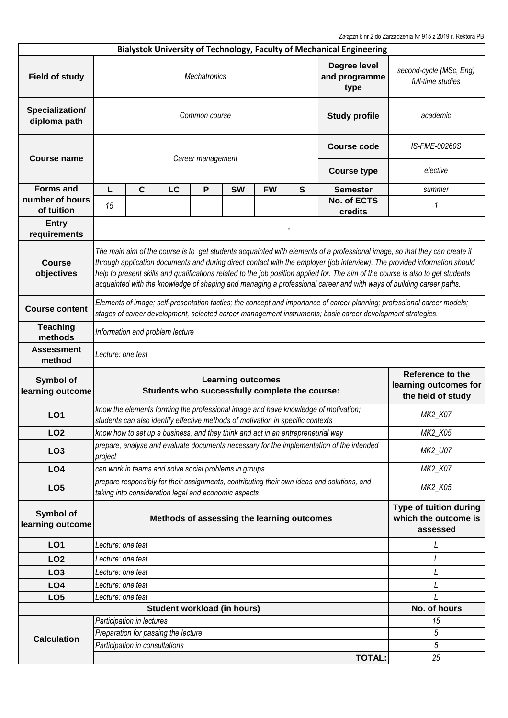Załącznik nr 2 do Zarządzenia Nr 915 z 2019 r. Rektora PB

|                                      |                                                                                                                                                                                                                                                                                                                                                                                                                                                                                                                     |                                |                                     |                                                       |                                                                 |                                                                                 |                                                            | Bialystok University of Technology, Faculty of Mechanical Engineering                      |              |  |  |  |
|--------------------------------------|---------------------------------------------------------------------------------------------------------------------------------------------------------------------------------------------------------------------------------------------------------------------------------------------------------------------------------------------------------------------------------------------------------------------------------------------------------------------------------------------------------------------|--------------------------------|-------------------------------------|-------------------------------------------------------|-----------------------------------------------------------------|---------------------------------------------------------------------------------|------------------------------------------------------------|--------------------------------------------------------------------------------------------|--------------|--|--|--|
| <b>Field of study</b>                | Degree level<br><b>Mechatronics</b><br>and programme<br>type                                                                                                                                                                                                                                                                                                                                                                                                                                                        |                                |                                     |                                                       |                                                                 |                                                                                 |                                                            | second-cycle (MSc, Eng)<br>full-time studies                                               |              |  |  |  |
| Specialization/<br>diploma path      | Common course<br><b>Study profile</b>                                                                                                                                                                                                                                                                                                                                                                                                                                                                               |                                |                                     |                                                       |                                                                 |                                                                                 |                                                            |                                                                                            | academic     |  |  |  |
| <b>Course name</b>                   |                                                                                                                                                                                                                                                                                                                                                                                                                                                                                                                     |                                | IS-FME-00260S                       |                                                       |                                                                 |                                                                                 |                                                            |                                                                                            |              |  |  |  |
|                                      | Career management<br><b>Course type</b>                                                                                                                                                                                                                                                                                                                                                                                                                                                                             |                                |                                     |                                                       |                                                                 |                                                                                 | elective                                                   |                                                                                            |              |  |  |  |
| <b>Forms and</b>                     | L.                                                                                                                                                                                                                                                                                                                                                                                                                                                                                                                  | $\mathbf c$                    | LC                                  | P                                                     | <b>SW</b>                                                       | <b>FW</b>                                                                       | S                                                          | <b>Semester</b>                                                                            | summer       |  |  |  |
| number of hours<br>of tuition        | 15                                                                                                                                                                                                                                                                                                                                                                                                                                                                                                                  |                                |                                     |                                                       |                                                                 |                                                                                 |                                                            | No. of ECTS<br>credits                                                                     | 1            |  |  |  |
| <b>Entry</b><br>requirements         |                                                                                                                                                                                                                                                                                                                                                                                                                                                                                                                     |                                |                                     |                                                       |                                                                 |                                                                                 |                                                            |                                                                                            |              |  |  |  |
| <b>Course</b><br>objectives          | The main aim of the course is to get students acquainted with elements of a professional image, so that they can create it<br>through application documents and during direct contact with the employer (job interview). The provided information should<br>help to present skills and qualifications related to the job position applied for. The aim of the course is also to get students<br>acquainted with the knowledge of shaping and managing a professional career and with ways of building career paths. |                                |                                     |                                                       |                                                                 |                                                                                 |                                                            |                                                                                            |              |  |  |  |
| <b>Course content</b>                | Elements of image; self-presentation tactics; the concept and importance of career planning; professional career models;<br>stages of career development, selected career management instruments; basic career development strategies.                                                                                                                                                                                                                                                                              |                                |                                     |                                                       |                                                                 |                                                                                 |                                                            |                                                                                            |              |  |  |  |
| <b>Teaching</b><br>methods           | Information and problem lecture                                                                                                                                                                                                                                                                                                                                                                                                                                                                                     |                                |                                     |                                                       |                                                                 |                                                                                 |                                                            |                                                                                            |              |  |  |  |
| <b>Assessment</b><br>method          | Lecture: one test                                                                                                                                                                                                                                                                                                                                                                                                                                                                                                   |                                |                                     |                                                       |                                                                 |                                                                                 |                                                            |                                                                                            |              |  |  |  |
| Symbol of<br>learning outcome        | <b>Learning outcomes</b><br>Students who successfully complete the course:                                                                                                                                                                                                                                                                                                                                                                                                                                          |                                |                                     |                                                       | Reference to the<br>learning outcomes for<br>the field of study |                                                                                 |                                                            |                                                                                            |              |  |  |  |
| LO <sub>1</sub>                      |                                                                                                                                                                                                                                                                                                                                                                                                                                                                                                                     |                                |                                     |                                                       |                                                                 | students can also identify effective methods of motivation in specific contexts |                                                            | know the elements forming the professional image and have knowledge of motivation;         | MK2_K07      |  |  |  |
| LO <sub>2</sub>                      | know how to set up a business, and they think and act in an entrepreneurial way                                                                                                                                                                                                                                                                                                                                                                                                                                     |                                |                                     |                                                       |                                                                 |                                                                                 |                                                            | <b>MK2_K05</b>                                                                             |              |  |  |  |
| LO <sub>3</sub>                      | prepare, analyse and evaluate documents necessary for the implementation of the intended<br>project                                                                                                                                                                                                                                                                                                                                                                                                                 |                                |                                     |                                                       |                                                                 |                                                                                 | MK2_U07                                                    |                                                                                            |              |  |  |  |
| LO <sub>4</sub>                      |                                                                                                                                                                                                                                                                                                                                                                                                                                                                                                                     |                                |                                     | can work in teams and solve social problems in groups |                                                                 |                                                                                 |                                                            |                                                                                            | MK2_K07      |  |  |  |
| LO <sub>5</sub>                      |                                                                                                                                                                                                                                                                                                                                                                                                                                                                                                                     |                                |                                     | taking into consideration legal and economic aspects  |                                                                 |                                                                                 |                                                            | prepare responsibly for their assignments, contributing their own ideas and solutions, and | MK2_K05      |  |  |  |
| <b>Symbol of</b><br>learning outcome | Methods of assessing the learning outcomes                                                                                                                                                                                                                                                                                                                                                                                                                                                                          |                                |                                     |                                                       |                                                                 |                                                                                 | Type of tuition during<br>which the outcome is<br>assessed |                                                                                            |              |  |  |  |
| LO <sub>1</sub>                      | Lecture: one test                                                                                                                                                                                                                                                                                                                                                                                                                                                                                                   |                                |                                     |                                                       |                                                                 |                                                                                 |                                                            |                                                                                            | L            |  |  |  |
| LO <sub>2</sub>                      | Lecture: one test                                                                                                                                                                                                                                                                                                                                                                                                                                                                                                   |                                |                                     |                                                       |                                                                 |                                                                                 | L                                                          |                                                                                            |              |  |  |  |
| LO <sub>3</sub>                      | Lecture: one test                                                                                                                                                                                                                                                                                                                                                                                                                                                                                                   |                                |                                     |                                                       |                                                                 |                                                                                 |                                                            | L                                                                                          |              |  |  |  |
| LO <sub>4</sub>                      | Lecture: one test                                                                                                                                                                                                                                                                                                                                                                                                                                                                                                   |                                |                                     |                                                       |                                                                 |                                                                                 |                                                            | L                                                                                          |              |  |  |  |
| LO <sub>5</sub>                      | Lecture: one test                                                                                                                                                                                                                                                                                                                                                                                                                                                                                                   |                                |                                     |                                                       |                                                                 |                                                                                 |                                                            |                                                                                            |              |  |  |  |
|                                      |                                                                                                                                                                                                                                                                                                                                                                                                                                                                                                                     |                                |                                     | <b>Student workload (in hours)</b>                    |                                                                 |                                                                                 |                                                            |                                                                                            | No. of hours |  |  |  |
|                                      |                                                                                                                                                                                                                                                                                                                                                                                                                                                                                                                     | Participation in lectures      | 15                                  |                                                       |                                                                 |                                                                                 |                                                            |                                                                                            |              |  |  |  |
|                                      |                                                                                                                                                                                                                                                                                                                                                                                                                                                                                                                     |                                |                                     |                                                       |                                                                 |                                                                                 |                                                            |                                                                                            |              |  |  |  |
|                                      |                                                                                                                                                                                                                                                                                                                                                                                                                                                                                                                     |                                |                                     |                                                       |                                                                 |                                                                                 |                                                            |                                                                                            |              |  |  |  |
| <b>Calculation</b>                   |                                                                                                                                                                                                                                                                                                                                                                                                                                                                                                                     |                                | Preparation for passing the lecture |                                                       |                                                                 |                                                                                 |                                                            |                                                                                            | 5<br>5       |  |  |  |
|                                      |                                                                                                                                                                                                                                                                                                                                                                                                                                                                                                                     | Participation in consultations |                                     |                                                       |                                                                 |                                                                                 |                                                            | <b>TOTAL:</b>                                                                              | 25           |  |  |  |